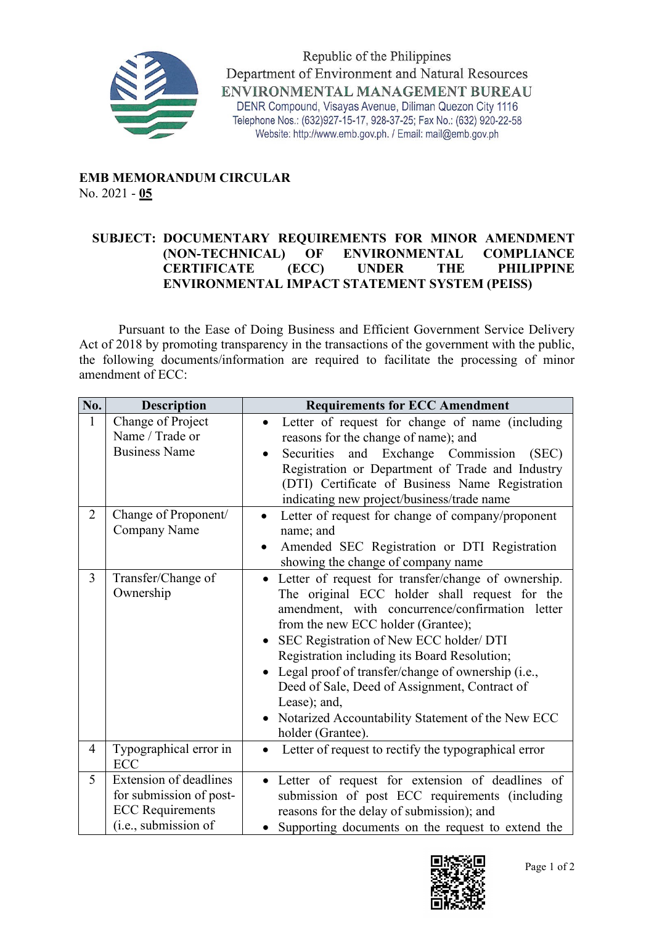

Republic of the Philippines Department of Environment and Natural Resources ENVIRONMENTAL MANAGEMENT BUREAU DENR Compound, Visayas Avenue, Diliman Quezon City 1116 Telephone Nos.: (632)927-15-17, 928-37-25; Fax No.: (632) 920-22-58 Website: http://www.emb.gov.ph. / Email: mail@emb.gov.ph

## **EMB MEMORANDUM CIRCULAR** No. 2021 - **05**

## **SUBJECT: DOCUMENTARY REQUIREMENTS FOR MINOR AMENDMENT (NON-TECHNICAL) OF ENVIRONMENTAL COMPLIANCE CERTIFICATE (ECC) UNDER THE PHILIPPINE ENVIRONMENTAL IMPACT STATEMENT SYSTEM (PEISS)**

Pursuant to the Ease of Doing Business and Efficient Government Service Delivery Act of 2018 by promoting transparency in the transactions of the government with the public, the following documents/information are required to facilitate the processing of minor amendment of ECC:

| No.            | <b>Description</b>                                                                                   | <b>Requirements for ECC Amendment</b>                                                                                                                                                                                                                                                                                                                                                                                                                                                       |
|----------------|------------------------------------------------------------------------------------------------------|---------------------------------------------------------------------------------------------------------------------------------------------------------------------------------------------------------------------------------------------------------------------------------------------------------------------------------------------------------------------------------------------------------------------------------------------------------------------------------------------|
| 1              | Change of Project<br>Name / Trade or<br><b>Business Name</b>                                         | Letter of request for change of name (including<br>$\bullet$<br>reasons for the change of name); and<br>and Exchange Commission (SEC)<br>Securities<br>$\bullet$<br>Registration or Department of Trade and Industry<br>(DTI) Certificate of Business Name Registration<br>indicating new project/business/trade name                                                                                                                                                                       |
| $\overline{2}$ | Change of Proponent/<br><b>Company Name</b>                                                          | Letter of request for change of company/proponent<br>name; and<br>Amended SEC Registration or DTI Registration<br>٠<br>showing the change of company name                                                                                                                                                                                                                                                                                                                                   |
| 3              | Transfer/Change of<br>Ownership                                                                      | • Letter of request for transfer/change of ownership.<br>The original ECC holder shall request for the<br>amendment, with concurrence/confirmation letter<br>from the new ECC holder (Grantee);<br>SEC Registration of New ECC holder/ DTI<br>Registration including its Board Resolution;<br>Legal proof of transfer/change of ownership (i.e.,<br>Deed of Sale, Deed of Assignment, Contract of<br>Lease); and,<br>Notarized Accountability Statement of the New ECC<br>holder (Grantee). |
| 4              | Typographical error in<br><b>ECC</b>                                                                 | Letter of request to rectify the typographical error<br>$\bullet$                                                                                                                                                                                                                                                                                                                                                                                                                           |
| 5              | Extension of deadlines<br>for submission of post-<br><b>ECC</b> Requirements<br>(i.e., submission of | • Letter of request for extension of deadlines of<br>submission of post ECC requirements (including<br>reasons for the delay of submission); and<br>Supporting documents on the request to extend the                                                                                                                                                                                                                                                                                       |